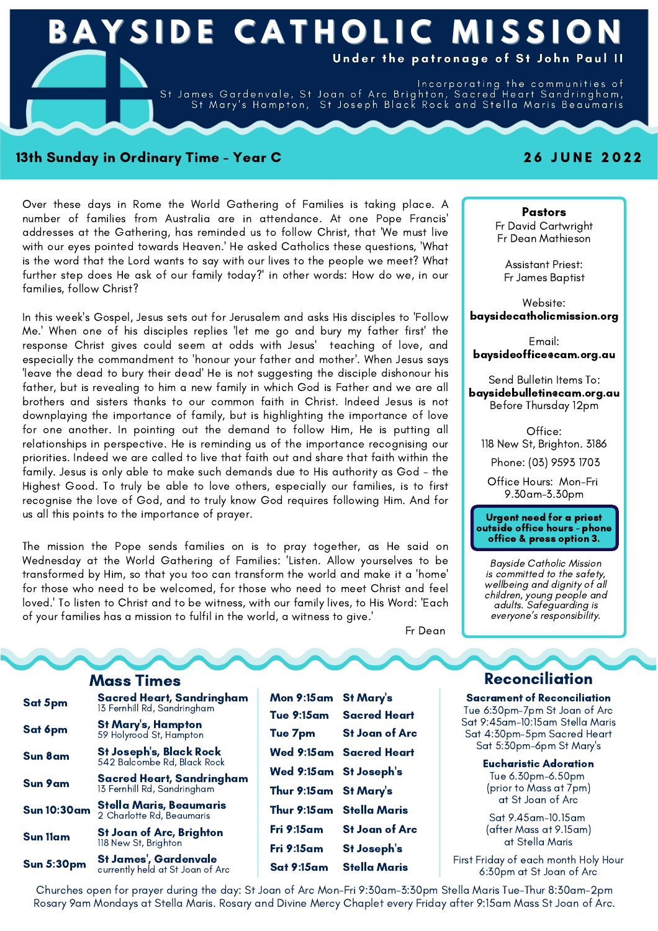

#### 13th Sunday in Ordinary Time - Year C 2 6 J U N E 2 0 2 2

Over these days in Rome the World Gathering of Families is taking place. A number of families from Australia are in attendance. At one Pope Francis' addresses at the Gathering, has reminded us to follow Christ, that 'We must live with our eyes pointed towards Heaven.' He asked Catholics these questions, 'What is the word that the Lord wants to say with our lives to the people we meet? What further step does He ask of our family today?' in other words: How do we, in our families, follow Christ?

In this week's Gospel, Jesus sets out for Jerusalem and asks His disciples to 'Follow Me.' When one of his disciples replies 'let me go and bury my father first' the response Christ gives could seem at odds with Jesus' teaching of love, and especially the commandment to 'honour your father and mother'. When Jesus says 'leave the dead to bury their dead' He is not suggesting the disciple dishonour his father, but is revealing to him a new family in which God is Father and we are all brothers and sisters thanks to our common faith in Christ. Indeed Jesus is not downplaying the importance of family, but is highlighting the importance of love for one another. In pointing out the demand to follow Him, He is putting all relationships in perspective. He is reminding us of the importance recognising our priorities. Indeed we are called to live that faith out and share that faith within the family. Jesus is only able to make such demands due to His authority as God - the Highest Good. To truly be able to love others, especially our families, is to first recognise the love of God, and to truly know God requires following Him. And for us all this points to the importance of prayer.

The mission the Pope sends families on is to pray together, as He said on Wednesday at the World Gathering of Families: 'Listen. Allow yourselves to be transformed by Him, so that you too can transform the world and make it a 'home' for those who need to be welcomed, for those who need to meet Christ and feel loved.' To listen to Christ and to be witness, with our family lives, to His Word: 'Each of your families has a mission to fulfil in the world, a witness to give.'

Fr Dean

| Sat 5pm            | <b>Sacred Heart, Sandringham</b><br>13 Fernhill Rd, Sandringham |  |
|--------------------|-----------------------------------------------------------------|--|
| Sat 6pm            | St Mary's, Hampton<br>59 Holyrood St, Hampton                   |  |
| <b>Sun 8am</b>     | St Joseph's, Black Rock<br>542 Balcombe Rd, Black Rock          |  |
| <b>Sun 9am</b>     | Sacred Heart, Sandringham<br>13 Fernhill Rd, Sandringham        |  |
| <b>Sun 10:30am</b> | <b>Stella Maris, Beaumaris</b><br>2 Charlotte Rd, Beaumaris     |  |
| <b>Sun 11am</b>    | <b>St Joan of Arc, Brighton</b><br>118 New St, Brighton         |  |
| <b>Sun 5:30pm</b>  | St James', Gardenvale<br>currently held at St Joan of Arc       |  |

| Mon 9:15am St Mary's   |                           |
|------------------------|---------------------------|
|                        | Tue 9:15am Sacred Heart   |
| Tue 7pm                | <b>St Joan of Arc</b>     |
|                        | Wed 9:15am Sacred Heart   |
| Wed 9:15am St Joseph's |                           |
| Thur 9:15am St Mary's  |                           |
|                        | Thur 9:15am Stella Maris  |
| Fri 9:15am             | <b>St Joan of Arc</b>     |
| Fri 9:15am             | <b>St Joseph's</b>        |
|                        | Sat 9:15am — Stella Maris |

Pastors Fr David Cartwright Fr Dean Mathieson

Assistant Priest: Fr James Baptist

Website: baysidecatholicmission.org

Email: baysideoffice@cam.org.au

Send Bulletin Items To: baysidebulletin@cam.org.au Before Thursday 12pm

Office: 118 New St, Brighton. 3186

Phone: (03) 9593 1703

Office Hours: Mon-Fri 9.30am-3.30pm

# Urgent need for <sup>a</sup> priest outside office hours - phone office & press option 3.

Bayside Catholic Mission wellbeing and dignity of all<br>children, young people and<br>adults. Safeguarding is everyone's responsibility.

# **Mass Times Reconciliation**

Sacrament of Reconciliation Tue 6:30pm-7pm St Joan of Arc Sat 9:45am-10:15am Stella Maris Sat 4:30pm-5pm Sacred Heart Sat 5:30pm-6pm St Mary's

Eucharistic Adoration

Tue 6.30pm-6.50pm (prior to Mass at 7pm) at St Joan of Arc

Sat 9.45am-10.15am (after Mass at 9.15am) at Stella Maris

First Friday of each month Holy Hour 6:30pm at St Joan of Arc

Churches open for prayer during the day: St Joan of Arc Mon-Fri 9:30am-3:30pm Stella Maris Tue-Thur 8:30am-2pm Rosary 9am Mondays at Stella Maris. Rosary and Divine Mercy Chaplet every Friday after 9:15am Mass St Joan of Arc.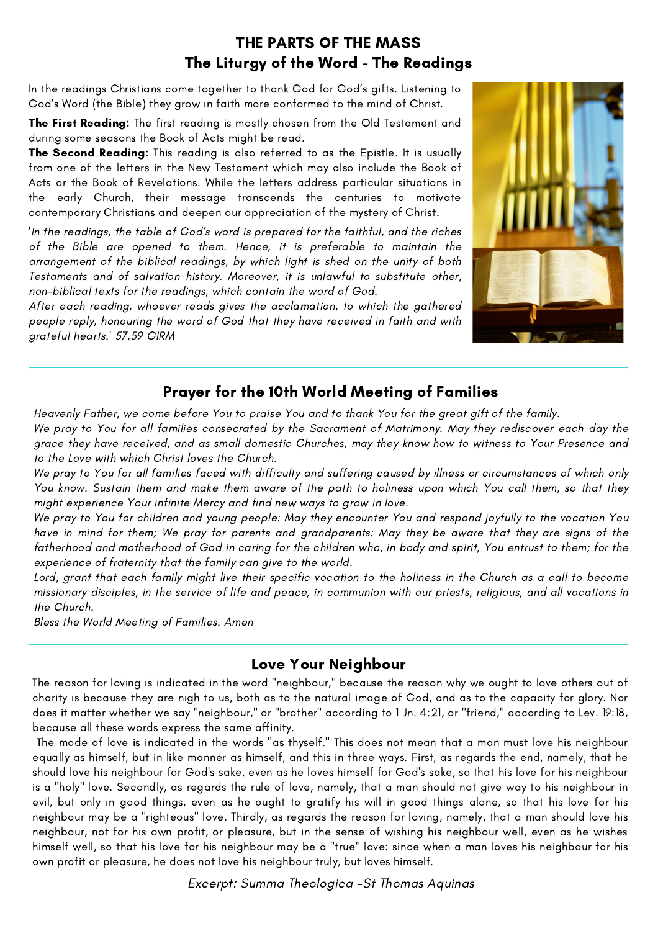# THE PARTS OF THE MASS The Liturgy of the Word - The Readings

In the readings Christians come together to thank God for God's gifts. Listening to God's Word (the Bible) they grow in faith more conformed to the mind of Christ.

The First Reading: The first reading is mostly chosen from the Old Testament and during some seasons the Book of Acts might be read.

The Second Reading: This reading is also referred to as the Epistle. It is usually from one of the letters in the New Testament which may also include the Book of Acts or the Book of Revelations. While the letters address particular situations in the early Church, their message transcends the centuries to motivate contemporary Christians and deepen our appreciation of the mystery of Christ.

'In the readings, the table of God's word is prepared for the faithful, and the riches of the Bible are opened to them. Hence, it is preferable to maintain the arrangement of the biblical readings, by which light is shed on the unity of both Testaments and of salvation history. Moreover, it is unlawful to substitute other, non-biblical texts for the readings, which contain the word of God.

After each reading, whoever reads gives the acclamation, to which the gathered people reply, honouring the word of God that they have received in faith and with grateful hearts.' 57,59 GIRM



# Prayer for the 10th World Meeting of Families

Heavenly Father, we come before You to praise You and to thank You for the great gift of the family.

We pray to You for all families consecrated by the Sacrament of Matrimony. May they rediscover each day the grace they have received, and as small domestic Churches, may they know how to witness to Your Presence and to the Love with which Christ loves the Church.

We pray to You for all families faced with difficulty and suffering caused by illness or circumstances of which only You know. Sustain them and make them aware of the path to holiness upon which You call them, so that they might experience Your infinite Mercy and find new ways to grow in love.

We pray to You for children and young people: May they encounter You and respond joyfully to the vocation You have in mind for them; We pray for parents and grandparents: May they be aware that they are signs of the fatherhood and motherhood of God in caring for the children who, in body and spirit, You entrust to them; for the experience of fraternity that the family can give to the world.

Lord, grant that each family might live their specific vocation to the holiness in the Church as a call to become missionary disciples, in the service of life and peace, in communion with our priests, religious, and all vocations in the Church.

Bless the World Meeting of Families. Amen

# Love Your Neighbour

The reason for loving is indicated in the word "neighbour," because the reason why we ought to love others out of charity is because they are nigh to us, both as to the natural image of God, and as to the capacity for glory. Nor does it matter whether we say "neighbour," or "brother" according to 1 Jn. [4:21,](https://www.ccel.org/study/iJohn_4:21-4:21) or "friend," according to Lev. [19:18,](https://www.ccel.org/study/Lev_19:18-19:18) because all these words express the same affinity.

The mode of love is indicated in the words "as thyself." This does not mean that a man must love his neighbour equally as himself, but in like manner as himself, and this in three ways. First, as regards the end, namely, that he should love his neighbour for God's sake, even as he loves himself for God's sake, so that his love for his neighbour is a "holy" love. Secondly, as regards the rule of love, namely, that a man should not give way to his neighbour in evil, but only in good things, even as he ought to gratify his will in good things alone, so that his love for his neighbour may be a "righteous" love. Thirdly, as regards the reason for loving, namely, that a man should love his neighbour, not for his own profit, or pleasure, but in the sense of wishing his neighbour well, even as he wishes himself well, so that his love for his neighbour may be a "true" love: since when a man loves his neighbour for his own profit or pleasure, he does not love his neighbour truly, but loves himself.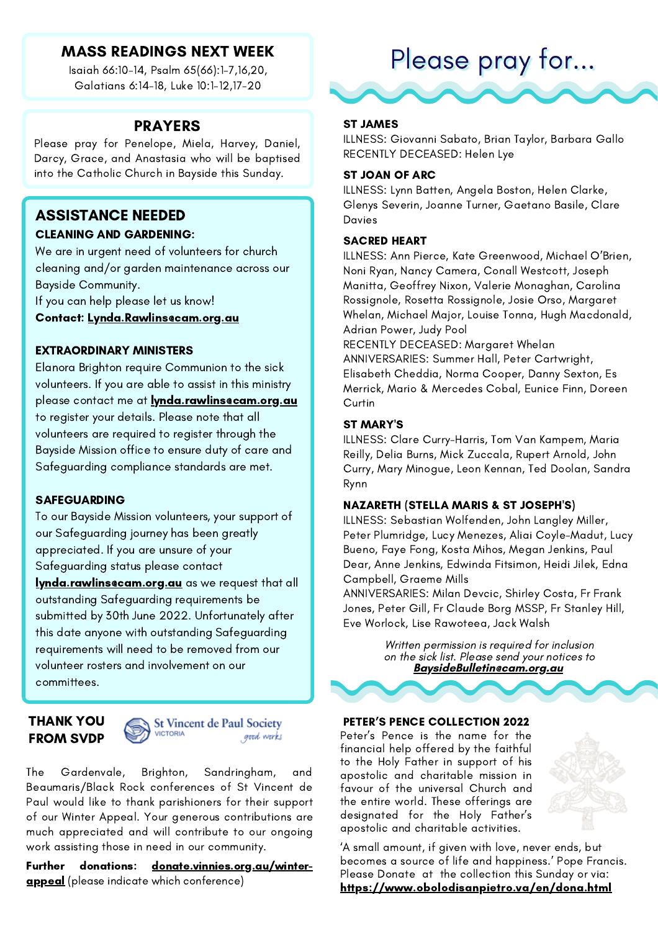# MASS READINGS NEXT WEEK

Isaiah 66:10-14, Psalm 65(66):1-7,16,20, Galatians 6:14-18, Luke 10:1-12,17-20

#### PRAYERS

Please pray for Penelope, Miela, Harvey, Daniel, Darcy, Grace, and Anastasia who will be baptised into the Catholic Church in Bayside this Sunday.

# ASSISTANCE NEEDED

#### CLEANING AND GARDENING:

We are in urgent need of volunteers for church cleaning and/or garden maintenance across our Bayside Community.

If you can help please let us know!

Contact: [Lynda.Rawlins@cam.org.au](mailto:lynda.rawlins@cam.org.au)

#### EXTRAORDINARY MINISTERS

Elanora Brighton require Communion to the sick volunteers. If you are able to assist in this ministry please contact me at **lynda.rawlins@cam.org.au** to register your details. Please note that all volunteers are required to register through the Bayside Mission office to ensure duty of care and Safeguarding compliance standards are met.

#### SAFEGUARDING

To our Bayside Mission volunteers, your support of our Safeguarding journey has been greatly appreciated. If you are unsure of your Safeguarding status please contact **lynda.rawlins@cam.org.au** as we request that all outstanding Safeguarding requirements be submitted by 30th June 2022. Unfortunately after this date anyone with outstanding Safeguarding requirements will need to be removed from our volunteer rosters and involvement on our committees.

#### THANK YOU FROM SVDP



The Gardenvale, Brighton, Sandringham, and Beaumaris/Black Rock conferences of St Vincent de Paul would like to thank parishioners for their support of our Winter Appeal. Your generous contributions are much appreciated and will contribute to our ongoing work assisting those in need in our community.

Further donations: donate.[vinnies.org.au/](http://vinnies.org.au/)winterappeal (please indicate which conference)

# Please pray for...



ILLNESS: Giovanni Sabato, Brian Taylor, Barbara Gallo RECENTLY DECEASED: Helen Lye

#### ST JOAN OF ARC

ILLNESS: Lynn Batten, Angela Boston, Helen Clarke, Glenys Severin, Joanne Turner, Gaetano Basile, Clare Davies

#### SACRED HEART

ILLNESS: Ann Pierce, Kate Greenwood, Michael O'Brien, Noni Ryan, Nancy Camera, Conall Westcott, Joseph Manitta, Geoffrey Nixon, Valerie Monaghan, Carolina Rossignole, Rosetta Rossignole, Josie Orso, Margaret Whelan, Michael Major, Louise Tonna, Hugh Macdonald, Adrian Power, Judy Pool

RECENTLY DECEASED: Margaret Whelan ANNIVERSARIES: Summer Hall, Peter Cartwright, Elisabeth Cheddia, Norma Cooper, Danny Sexton, Es Merrick, Mario & Mercedes Cobal, Eunice Finn, Doreen **Curtin** 

#### ST MARY'S

ILLNESS: Clare Curry-Harris, Tom Van Kampem, Maria Reilly, Delia Burns, Mick Zuccala, Rupert Arnold, John Curry, Mary Minogue, Leon Kennan, Ted Doolan, Sandra Rynn

#### NAZARETH (STELLA MARIS & ST JOSEPH'S)

ILLNESS: Sebastian Wolfenden, John Langley Miller, Peter Plumridge, Lucy Menezes, Aliai Coyle-Madut, Lucy Bueno, Faye Fong, Kosta Mihos, Megan Jenkins, Paul Dear, Anne Jenkins, Edwinda Fitsimon, Heidi Jilek, Edna Campbell, Graeme Mills

ANNIVERSARIES: Milan Devcic, Shirley Costa, Fr Frank Jones, Peter Gill, Fr Claude Borg MSSP, Fr Stanley Hill, Eve Worlock, Lise Rawoteea, Jack Walsh

> Written permission is required for inclusion on the sick list. Please send your notices to **[BaysideBulletin@cam.org.au](mailto:baysidebulletin@cam.org.au)**

#### PETER'S PENCE COLLECTION 2022

Peter's Pence is the name for the financial help offered by the faithful to the Holy Father in support of his apostolic and charitable mission in favour of the universal Church and the entire world. These offerings are designated for the Holy Father's apostolic and charitable activities.



'A small amount, if given with love, never ends, but becomes a source of life and happiness.' Pope Francis. Please Donate at the collection this Sunday or via: https://www.obolodisanpietro.va/en/dona.html